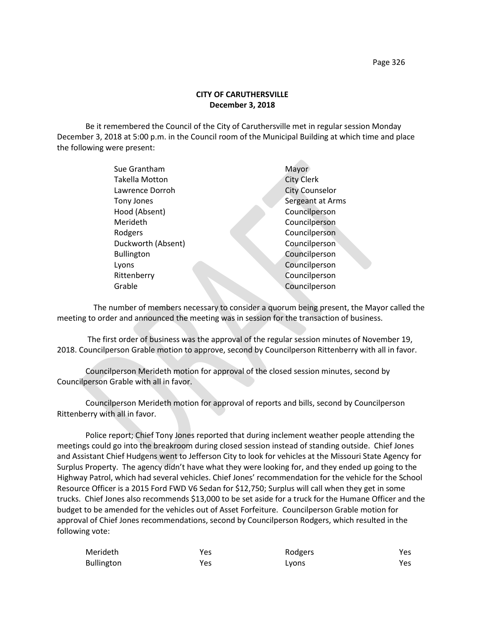## **CITY OF CARUTHERSVILLE December 3, 2018**

Be it remembered the Council of the City of Caruthersville met in regular session Monday December 3, 2018 at 5:00 p.m. in the Council room of the Municipal Building at which time and place the following were present:

| Sue Grantham          | Mayor                 |
|-----------------------|-----------------------|
| <b>Takella Motton</b> | <b>City Clerk</b>     |
| Lawrence Dorroh       | <b>City Counselor</b> |
| Tony Jones            | Sergeant at Arms      |
| Hood (Absent)         | Councilperson         |
| Merideth              | Councilperson         |
| Rodgers               | Councilperson         |
| Duckworth (Absent)    | Councilperson         |
| <b>Bullington</b>     | Councilperson         |
| Lyons                 | Councilperson         |
| Rittenberry           | Councilperson         |
| Grable                | Councilperson         |
|                       |                       |

 The number of members necessary to consider a quorum being present, the Mayor called the meeting to order and announced the meeting was in session for the transaction of business.

The first order of business was the approval of the regular session minutes of November 19, 2018. Councilperson Grable motion to approve, second by Councilperson Rittenberry with all in favor.

Councilperson Merideth motion for approval of the closed session minutes, second by Councilperson Grable with all in favor.

Councilperson Merideth motion for approval of reports and bills, second by Councilperson Rittenberry with all in favor.

Police report; Chief Tony Jones reported that during inclement weather people attending the meetings could go into the breakroom during closed session instead of standing outside. Chief Jones and Assistant Chief Hudgens went to Jefferson City to look for vehicles at the Missouri State Agency for Surplus Property. The agency didn't have what they were looking for, and they ended up going to the Highway Patrol, which had several vehicles. Chief Jones' recommendation for the vehicle for the School Resource Officer is a 2015 Ford FWD V6 Sedan for \$12,750; Surplus will call when they get in some trucks. Chief Jones also recommends \$13,000 to be set aside for a truck for the Humane Officer and the budget to be amended for the vehicles out of Asset Forfeiture. Councilperson Grable motion for approval of Chief Jones recommendations, second by Councilperson Rodgers, which resulted in the following vote:

| Merideth          | Yes | Rodgers | Yes  |
|-------------------|-----|---------|------|
| <b>Bullington</b> | Yes | Lyons   | Yes. |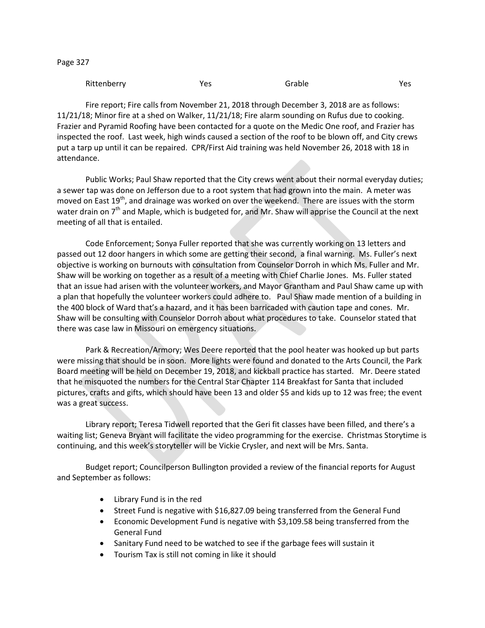| υ<br>c |  |
|--------|--|
|--------|--|

| Rittenberry | Yes | Grable | Yes |
|-------------|-----|--------|-----|
|-------------|-----|--------|-----|

Fire report; Fire calls from November 21, 2018 through December 3, 2018 are as follows: 11/21/18; Minor fire at a shed on Walker, 11/21/18; Fire alarm sounding on Rufus due to cooking. Frazier and Pyramid Roofing have been contacted for a quote on the Medic One roof, and Frazier has inspected the roof. Last week, high winds caused a section of the roof to be blown off, and City crews put a tarp up until it can be repaired. CPR/First Aid training was held November 26, 2018 with 18 in attendance.

Public Works; Paul Shaw reported that the City crews went about their normal everyday duties; a sewer tap was done on Jefferson due to a root system that had grown into the main. A meter was moved on East 19<sup>th</sup>, and drainage was worked on over the weekend. There are issues with the storm water drain on  $7<sup>th</sup>$  and Maple, which is budgeted for, and Mr. Shaw will apprise the Council at the next meeting of all that is entailed.

Code Enforcement; Sonya Fuller reported that she was currently working on 13 letters and passed out 12 door hangers in which some are getting their second, a final warning. Ms. Fuller's next objective is working on burnouts with consultation from Counselor Dorroh in which Ms. Fuller and Mr. Shaw will be working on together as a result of a meeting with Chief Charlie Jones. Ms. Fuller stated that an issue had arisen with the volunteer workers, and Mayor Grantham and Paul Shaw came up with a plan that hopefully the volunteer workers could adhere to. Paul Shaw made mention of a building in the 400 block of Ward that's a hazard, and it has been barricaded with caution tape and cones. Mr. Shaw will be consulting with Counselor Dorroh about what procedures to take. Counselor stated that there was case law in Missouri on emergency situations.

Park & Recreation/Armory; Wes Deere reported that the pool heater was hooked up but parts were missing that should be in soon. More lights were found and donated to the Arts Council, the Park Board meeting will be held on December 19, 2018, and kickball practice has started. Mr. Deere stated that he misquoted the numbers for the Central Star Chapter 114 Breakfast for Santa that included pictures, crafts and gifts, which should have been 13 and older \$5 and kids up to 12 was free; the event was a great success.

Library report; Teresa Tidwell reported that the Geri fit classes have been filled, and there's a waiting list; Geneva Bryant will facilitate the video programming for the exercise. Christmas Storytime is continuing, and this week's storyteller will be Vickie Crysler, and next will be Mrs. Santa.

Budget report; Councilperson Bullington provided a review of the financial reports for August and September as follows:

- Library Fund is in the red
- Street Fund is negative with \$16,827.09 being transferred from the General Fund
- Economic Development Fund is negative with \$3,109.58 being transferred from the General Fund
- Sanitary Fund need to be watched to see if the garbage fees will sustain it
- Tourism Tax is still not coming in like it should